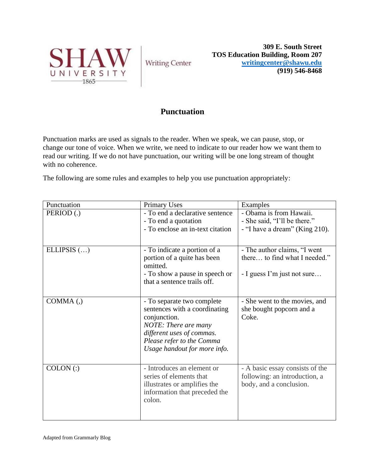

**Writing Center** 

**309 E. South Street TOS Education Building, Room 207 [writingcenter@shawu.edu](mailto:writingcenter@shawu.edu) (919) 546-8468**

## **Punctuation**

Punctuation marks are used as signals to the reader. When we speak, we can pause, stop, or change our tone of voice. When we write, we need to indicate to our reader how we want them to read our writing. If we do not have punctuation, our writing will be one long stream of thought with no coherence.

The following are some rules and examples to help you use punctuation appropriately:

| Punctuation   | <b>Primary Uses</b>                                                                                                              | Examples                                                                                    |
|---------------|----------------------------------------------------------------------------------------------------------------------------------|---------------------------------------------------------------------------------------------|
| PERIOD(.)     | - To end a declarative sentence                                                                                                  | - Obama is from Hawaii.                                                                     |
|               | - To end a quotation                                                                                                             | - She said, "I'll be there."                                                                |
|               | - To enclose an in-text citation                                                                                                 | - "I have a dream" (King 210).                                                              |
|               |                                                                                                                                  |                                                                                             |
| ELLIPSIS $()$ | - To indicate a portion of a                                                                                                     | - The author claims, "I went                                                                |
|               | portion of a quite has been<br>omitted.                                                                                          | there to find what I needed."                                                               |
|               | - To show a pause in speech or<br>that a sentence trails off.                                                                    | - I guess I'm just not sure                                                                 |
|               |                                                                                                                                  |                                                                                             |
| $COMMA$ (,)   | - To separate two complete<br>sentences with a coordinating<br>conjunction.<br>NOTE: There are many                              | - She went to the movies, and<br>she bought popcorn and a<br>Coke.                          |
|               | different uses of commas.<br>Please refer to the Comma                                                                           |                                                                                             |
|               | Usage handout for more info.                                                                                                     |                                                                                             |
|               |                                                                                                                                  |                                                                                             |
| $COLON$ $(:)$ | - Introduces an element or<br>series of elements that<br>illustrates or amplifies the<br>information that preceded the<br>colon. | - A basic essay consists of the<br>following: an introduction, a<br>body, and a conclusion. |
|               |                                                                                                                                  |                                                                                             |